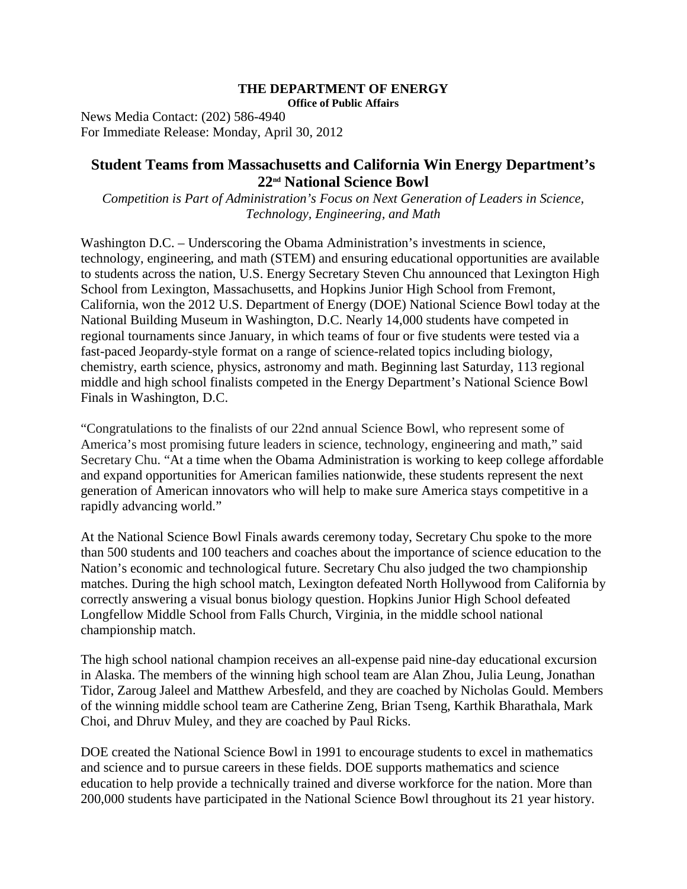## **THE DEPARTMENT OF ENERGY Office of Public Affairs**

News Media Contact: (202) 586-4940 For Immediate Release: Monday, April 30, 2012

## **Student Teams from Massachusetts and California Win Energy Department's 22nd National Science Bowl**

*Competition is Part of Administration's Focus on Next Generation of Leaders in Science, Technology, Engineering, and Math*

Washington D.C. – Underscoring the Obama Administration's investments in science, technology, engineering, and math (STEM) and ensuring educational opportunities are available to students across the nation, U.S. Energy Secretary Steven Chu announced that Lexington High School from Lexington, Massachusetts, and Hopkins Junior High School from Fremont, California, won the 2012 U.S. Department of Energy (DOE) National Science Bowl today at the National Building Museum in Washington, D.C. Nearly 14,000 students have competed in regional tournaments since January, in which teams of four or five students were tested via a fast-paced Jeopardy-style format on a range of science-related topics including biology, chemistry, earth science, physics, astronomy and math. Beginning last Saturday, 113 regional middle and high school finalists competed in the Energy Department's National Science Bowl Finals in Washington, D.C.

"Congratulations to the finalists of our 22nd annual Science Bowl, who represent some of America's most promising future leaders in science, technology, engineering and math," said Secretary Chu. "At a time when the Obama Administration is working to keep college affordable and expand opportunities for American families nationwide, these students represent the next generation of American innovators who will help to make sure America stays competitive in a rapidly advancing world."

At the National Science Bowl Finals awards ceremony today, Secretary Chu spoke to the more than 500 students and 100 teachers and coaches about the importance of science education to the Nation's economic and technological future. Secretary Chu also judged the two championship matches. During the high school match, Lexington defeated North Hollywood from California by correctly answering a visual bonus biology question. Hopkins Junior High School defeated Longfellow Middle School from Falls Church, Virginia, in the middle school national championship match.

The high school national champion receives an all-expense paid nine-day educational excursion in Alaska. The members of the winning high school team are Alan Zhou, Julia Leung, Jonathan Tidor, Zaroug Jaleel and Matthew Arbesfeld, and they are coached by Nicholas Gould. Members of the winning middle school team are Catherine Zeng, Brian Tseng, Karthik Bharathala, Mark Choi, and Dhruv Muley, and they are coached by Paul Ricks.

DOE created the National Science Bowl in 1991 to encourage students to excel in mathematics and science and to pursue careers in these fields. DOE supports mathematics and science education to help provide a technically trained and diverse workforce for the nation. More than 200,000 students have participated in the National Science Bowl throughout its 21 year history.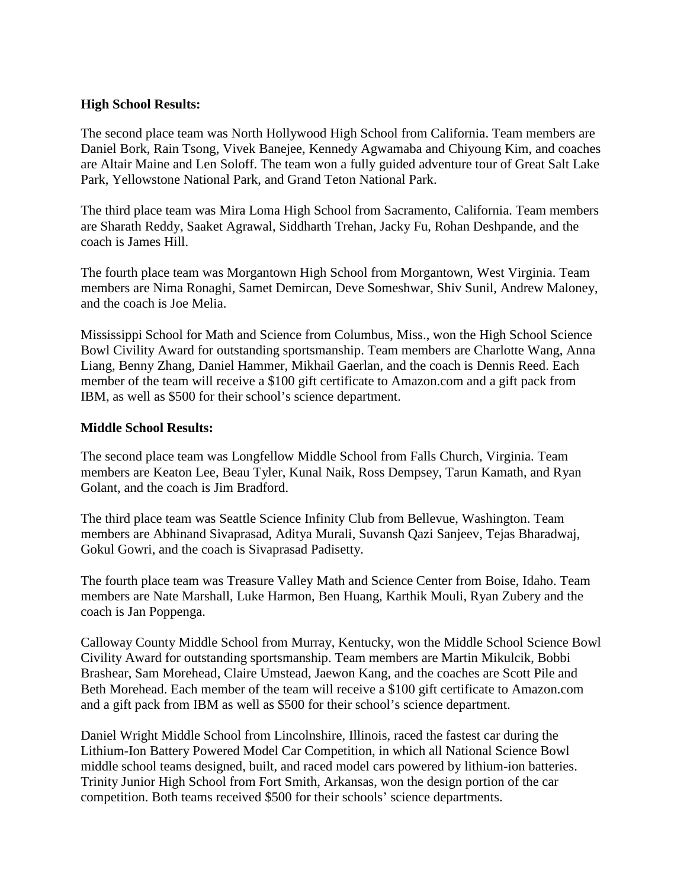## **High School Results:**

The second place team was North Hollywood High School from California. Team members are Daniel Bork, Rain Tsong, Vivek Banejee, Kennedy Agwamaba and Chiyoung Kim, and coaches are Altair Maine and Len Soloff. The team won a fully guided adventure tour of Great Salt Lake Park, Yellowstone National Park, and Grand Teton National Park.

The third place team was Mira Loma High School from Sacramento, California. Team members are Sharath Reddy, Saaket Agrawal, Siddharth Trehan, Jacky Fu, Rohan Deshpande, and the coach is James Hill.

The fourth place team was Morgantown High School from Morgantown, West Virginia. Team members are Nima Ronaghi, Samet Demircan, Deve Someshwar, Shiv Sunil, Andrew Maloney, and the coach is Joe Melia.

Mississippi School for Math and Science from Columbus, Miss., won the High School Science Bowl Civility Award for outstanding sportsmanship. Team members are Charlotte Wang, Anna Liang, Benny Zhang, Daniel Hammer, Mikhail Gaerlan, and the coach is Dennis Reed. Each member of the team will receive a \$100 gift certificate to Amazon.com and a gift pack from IBM, as well as \$500 for their school's science department.

## **Middle School Results:**

The second place team was Longfellow Middle School from Falls Church, Virginia. Team members are Keaton Lee, Beau Tyler, Kunal Naik, Ross Dempsey, Tarun Kamath, and Ryan Golant, and the coach is Jim Bradford.

The third place team was Seattle Science Infinity Club from Bellevue, Washington. Team members are Abhinand Sivaprasad, Aditya Murali, Suvansh Qazi Sanjeev, Tejas Bharadwaj, Gokul Gowri, and the coach is Sivaprasad Padisetty.

The fourth place team was Treasure Valley Math and Science Center from Boise, Idaho. Team members are Nate Marshall, Luke Harmon, Ben Huang, Karthik Mouli, Ryan Zubery and the coach is Jan Poppenga.

Calloway County Middle School from Murray, Kentucky, won the Middle School Science Bowl Civility Award for outstanding sportsmanship. Team members are Martin Mikulcik, Bobbi Brashear, Sam Morehead, Claire Umstead, Jaewon Kang, and the coaches are Scott Pile and Beth Morehead. Each member of the team will receive a \$100 gift certificate to Amazon.com and a gift pack from IBM as well as \$500 for their school's science department.

Daniel Wright Middle School from Lincolnshire, Illinois, raced the fastest car during the Lithium-Ion Battery Powered Model Car Competition, in which all National Science Bowl middle school teams designed, built, and raced model cars powered by lithium-ion batteries. Trinity Junior High School from Fort Smith, Arkansas, won the design portion of the car competition. Both teams received \$500 for their schools' science departments.